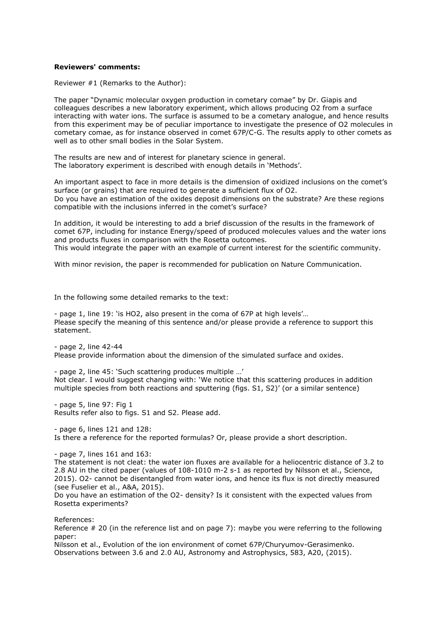#### **Reviewers' comments:**

Reviewer #1 (Remarks to the Author):

The paper "Dynamic molecular oxygen production in cometary comae" by Dr. Giapis and colleagues describes a new laboratory experiment, which allows producing O2 from a surface interacting with water ions. The surface is assumed to be a cometary analogue, and hence results from this experiment may be of peculiar importance to investigate the presence of O2 molecules in cometary comae, as for instance observed in comet 67P/C-G. The results apply to other comets as well as to other small bodies in the Solar System.

The results are new and of interest for planetary science in general. The laboratory experiment is described with enough details in 'Methods'.

An important aspect to face in more details is the dimension of oxidized inclusions on the comet's surface (or grains) that are required to generate a sufficient flux of O2. Do you have an estimation of the oxides deposit dimensions on the substrate? Are these regions compatible with the inclusions inferred in the comet's surface?

In addition, it would be interesting to add a brief discussion of the results in the framework of comet 67P, including for instance Energy/speed of produced molecules values and the water ions and products fluxes in comparison with the Rosetta outcomes.

This would integrate the paper with an example of current interest for the scientific community.

With minor revision, the paper is recommended for publication on Nature Communication.

In the following some detailed remarks to the text:

- page 1, line 19: 'is HO2, also present in the coma of 67P at high levels'… Please specify the meaning of this sentence and/or please provide a reference to support this statement.

- page 2, line 42-44 Please provide information about the dimension of the simulated surface and oxides.

- page 2, line 45: 'Such scattering produces multiple …' Not clear. I would suggest changing with: 'We notice that this scattering produces in addition multiple species from both reactions and sputtering (figs. S1, S2)' (or a similar sentence)

- page 5, line 97: Fig 1 Results refer also to figs. S1 and S2. Please add.

- page 6, lines 121 and 128: Is there a reference for the reported formulas? Or, please provide a short description.

- page 7, lines 161 and 163:

The statement is not cleat: the water ion fluxes are available for a heliocentric distance of 3.2 to 2.8 AU in the cited paper (values of 108-1010 m-2 s-1 as reported by Nilsson et al., Science, 2015). O2- cannot be disentangled from water ions, and hence its flux is not directly measured (see Fuselier et al., A&A, 2015).

Do you have an estimation of the O2- density? Is it consistent with the expected values from Rosetta experiments?

References:

Reference # 20 (in the reference list and on page 7): maybe you were referring to the following paper:

Nilsson et al., Evolution of the ion environment of comet 67P/Churyumov-Gerasimenko. Observations between 3.6 and 2.0 AU, Astronomy and Astrophysics, 583, A20, (2015).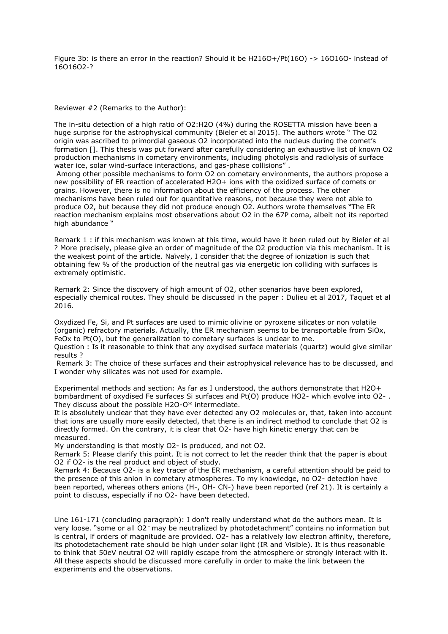Figure 3b: is there an error in the reaction? Should it be H216O+/Pt(16O) -> 16O16O- instead of 16O16O2-?

## Reviewer #2 (Remarks to the Author):

The in-situ detection of a high ratio of O2:H2O (4%) during the ROSETTA mission have been a huge surprise for the astrophysical community (Bieler et al 2015). The authors wrote " The O2 origin was ascribed to primordial gaseous O2 incorporated into the nucleus during the comet's formation []. This thesis was put forward after carefully considering an exhaustive list of known O2 production mechanisms in cometary environments, including photolysis and radiolysis of surface water ice, solar wind-surface interactions, and gas-phase collisions" .

Among other possible mechanisms to form O2 on cometary environments, the authors propose a new possibility of ER reaction of accelerated H2O+ ions with the oxidized surface of comets or grains. However, there is no information about the efficiency of the process. The other mechanisms have been ruled out for quantitative reasons, not because they were not able to produce O2, but because they did not produce enough O2. Authors wrote themselves "The ER reaction mechanism explains most observations about O2 in the 67P coma, albeit not its reported high abundance "

Remark 1 : if this mechanism was known at this time, would have it been ruled out by Bieler et al ? More precisely, please give an order of magnitude of the O2 production via this mechanism. It is the weakest point of the article. Naïvely, I consider that the degree of ionization is such that obtaining few % of the production of the neutral gas via energetic ion colliding with surfaces is extremely optimistic.

Remark 2: Since the discovery of high amount of O2, other scenarios have been explored, especially chemical routes. They should be discussed in the paper : Dulieu et al 2017, Taquet et al 2016.

Oxydized Fe, Si, and Pt surfaces are used to mimic olivine or pyroxene silicates or non volatile (organic) refractory materials. Actually, the ER mechanism seems to be transportable from SiOx, FeOx to Pt(O), but the generalization to cometary surfaces is unclear to me.

Question : Is it reasonable to think that any oxydised surface materials (quartz) would give similar results ?

Remark 3: The choice of these surfaces and their astrophysical relevance has to be discussed, and I wonder why silicates was not used for example.

Experimental methods and section: As far as I understood, the authors demonstrate that H2O+ bombardment of oxydised Fe surfaces Si surfaces and Pt(O) produce HO2- which evolve into O2- . They discuss about the possible H2O-O\* intermediate.

It is absolutely unclear that they have ever detected any O2 molecules or, that, taken into account that ions are usually more easily detected, that there is an indirect method to conclude that O2 is directly formed. On the contrary, it is clear that O2- have high kinetic energy that can be measured.

My understanding is that mostly O2- is produced, and not O2.

Remark 5: Please clarify this point. It is not correct to let the reader think that the paper is about O2 if O2- is the real product and object of study.

Remark 4: Because O2- is a key tracer of the ER mechanism, a careful attention should be paid to the presence of this anion in cometary atmospheres. To my knowledge, no O2- detection have been reported, whereas others anions (H-, OH- CN-) have been reported (ref 21). It is certainly a point to discuss, especially if no O2- have been detected.

Line 161-171 (concluding paragraph): I don't really understand what do the authors mean. It is very loose. "some or all O2 may be neutralized by photodetachment" contains no information but is central, if orders of magnitude are provided. O2- has a relatively low electron affinity, therefore, its photodetachement rate should be high under solar light (IR and Visible). It is thus reasonable to think that 50eV neutral O2 will rapidly escape from the atmosphere or strongly interact with it. All these aspects should be discussed more carefully in order to make the link between the experiments and the observations.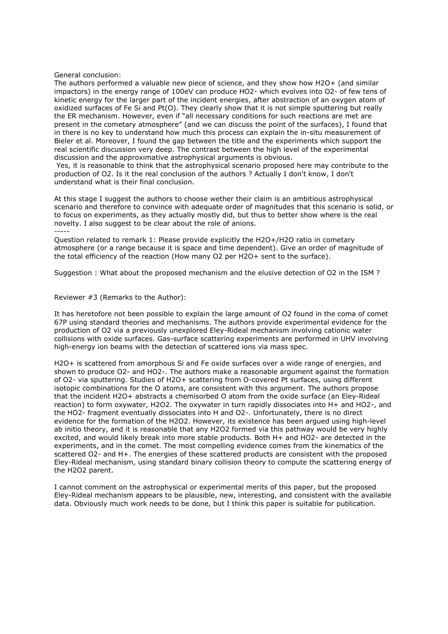### General conclusion:

The authors performed a valuable new piece of science, and they show how H2O+ (and similar impactors) in the energy range of 100eV can produce HO2- which evolves into O2- of few tens of kinetic energy for the larger part of the incident energies, after abstraction of an oxygen atom of oxidized surfaces of Fe Si and Pt(O). They clearly show that it is not simple sputtering but really the ER mechanism. However, even if "all necessary conditions for such reactions are met are present in the cometary atmosphere" (and we can discuss the point of the surfaces), I found that in there is no key to understand how much this process can explain the in-situ measurement of Bieler et al. Moreover, I found the gap between the title and the experiments which support the real scientific discussion very deep. The contrast between the high level of the experimental discussion and the approximative astrophysical arguments is obvious.

Yes, it is reasonable to think that the astrophysical scenario proposed here may contribute to the production of O2. Is it the real conclusion of the authors ? Actually I don't know, I don't understand what is their final conclusion.

At this stage I suggest the authors to choose wether their claim is an ambitious astrophysical scenario and therefore to convince with adequate order of magnitudes that this scenario is solid, or to focus on experiments, as they actually mostly did, but thus to better show where is the real novelty. I also suggest to be clear about the role of anions.

-----

Question related to remark 1: Please provide explicitly the H2O+/H2O ratio in cometary atmosphere (or a range because it is space and time dependent). Give an order of magnitude of the total efficiency of the reaction (How many O2 per H2O+ sent to the surface).

Suggestion : What about the proposed mechanism and the elusive detection of O2 in the ISM ?

#### Reviewer #3 (Remarks to the Author):

It has heretofore not been possible to explain the large amount of O2 found in the coma of comet 67P using standard theories and mechanisms. The authors provide experimental evidence for the production of O2 via a previously unexplored Eley-Rideal mechanism involving cationic water collisions with oxide surfaces. Gas-surface scattering experiments are performed in UHV involving high-energy ion beams with the detection of scattered ions via mass spec.

H2O+ is scattered from amorphous Si and Fe oxide surfaces over a wide range of energies, and shown to produce O2- and HO2-. The authors make a reasonable argument against the formation of O2- via sputtering. Studies of H2O+ scattering from O-covered Pt surfaces, using different isotopic combinations for the O atoms, are consistent with this argument. The authors propose that the incident H2O+ abstracts a chemisorbed O atom from the oxide surface (an Eley-Rideal reaction) to form oxywater, H2O2. The oxywater in turn rapidly dissociates into H+ and HO2-, and the HO2- fragment eventually dissociates into H and O2-. Unfortunately, there is no direct evidence for the formation of the H2O2. However, its existence has been argued using high-level ab initio theory, and it is reasonable that any H2O2 formed via this pathway would be very highly excited, and would likely break into more stable products. Both H+ and HO2- are detected in the experiments, and in the comet. The most compelling evidence comes from the kinematics of the scattered O2- and H+. The energies of these scattered products are consistent with the proposed Eley-Rideal mechanism, using standard binary collision theory to compute the scattering energy of the H2O2 parent.

I cannot comment on the astrophysical or experimental merits of this paper, but the proposed Eley-Rideal mechanism appears to be plausible, new, interesting, and consistent with the available data. Obviously much work needs to be done, but I think this paper is suitable for publication.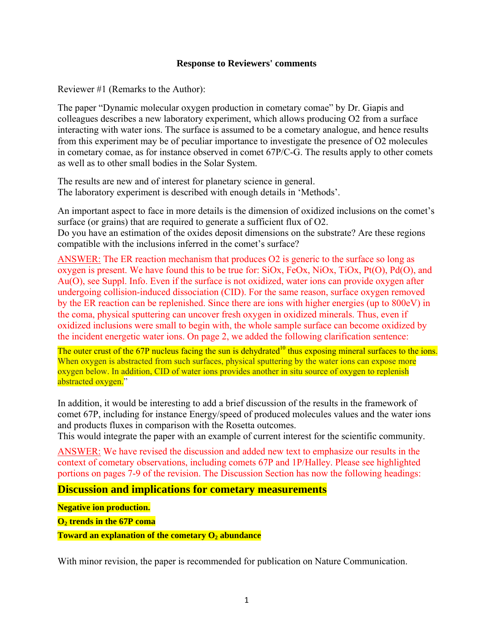## **Response to Reviewers' comments**

Reviewer #1 (Remarks to the Author):

The paper "Dynamic molecular oxygen production in cometary comae" by Dr. Giapis and colleagues describes a new laboratory experiment, which allows producing O2 from a surface interacting with water ions. The surface is assumed to be a cometary analogue, and hence results from this experiment may be of peculiar importance to investigate the presence of O2 molecules in cometary comae, as for instance observed in comet 67P/C-G. The results apply to other comets as well as to other small bodies in the Solar System.

The results are new and of interest for planetary science in general. The laboratory experiment is described with enough details in 'Methods'.

An important aspect to face in more details is the dimension of oxidized inclusions on the comet's surface (or grains) that are required to generate a sufficient flux of O2. Do you have an estimation of the oxides deposit dimensions on the substrate? Are these regions compatible with the inclusions inferred in the comet's surface?

ANSWER: The ER reaction mechanism that produces O2 is generic to the surface so long as oxygen is present. We have found this to be true for: SiOx, FeOx, NiOx, TiOx, Pt(O), Pd(O), and Au(O), see Suppl. Info. Even if the surface is not oxidized, water ions can provide oxygen after undergoing collision-induced dissociation (CID). For the same reason, surface oxygen removed by the ER reaction can be replenished. Since there are ions with higher energies (up to 800eV) in the coma, physical sputtering can uncover fresh oxygen in oxidized minerals. Thus, even if oxidized inclusions were small to begin with, the whole sample surface can become oxidized by the incident energetic water ions. On page 2, we added the following clarification sentence:

The outer crust of the 67P nucleus facing the sun is dehydrated<sup>10</sup> thus exposing mineral surfaces to the ions. When oxygen is abstracted from such surfaces, physical sputtering by the water ions can expose more oxygen below. In addition, CID of water ions provides another in situ source of oxygen to replenish abstracted oxygen."

In addition, it would be interesting to add a brief discussion of the results in the framework of comet 67P, including for instance Energy/speed of produced molecules values and the water ions and products fluxes in comparison with the Rosetta outcomes.

This would integrate the paper with an example of current interest for the scientific community.

ANSWER: We have revised the discussion and added new text to emphasize our results in the context of cometary observations, including comets 67P and 1P/Halley. Please see highlighted portions on pages 7-9 of the revision. The Discussion Section has now the following headings:

**Discussion and implications for cometary measurements** 

**Negative ion production.** 

**O2 trends in the 67P coma** 

**Toward an explanation of the cometary O<sub>2</sub> abundance** 

With minor revision, the paper is recommended for publication on Nature Communication.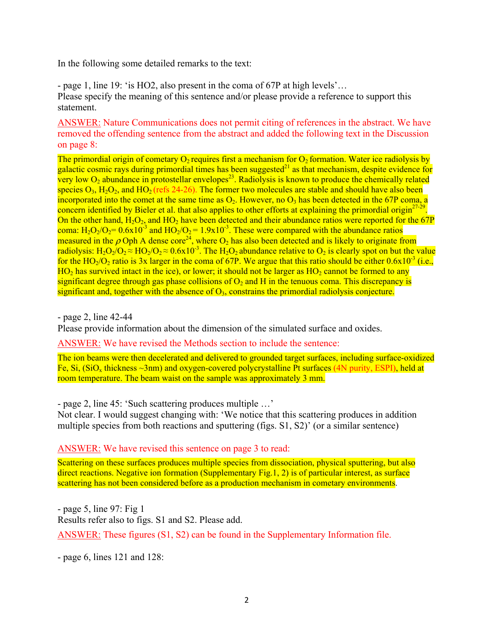In the following some detailed remarks to the text:

- page 1, line 19: 'is HO2, also present in the coma of 67P at high levels'… Please specify the meaning of this sentence and/or please provide a reference to support this statement.

ANSWER: Nature Communications does not permit citing of references in the abstract. We have removed the offending sentence from the abstract and added the following text in the Discussion on page 8:

The primordial origin of cometary  $O_2$  requires first a mechanism for  $O_2$  formation. Water ice radiolysis by galactic cosmic rays during primordial times has been suggested<sup>21</sup> as that mechanism, despite evidence for very low  $O_2$  abundance in protostellar envelopes<sup>23</sup>. Radiolysis is known to produce the chemically related species  $O_3$ ,  $H_2O_2$ , and  $HO_2$  (refs 24-26). The former two molecules are stable and should have also been incorporated into the comet at the same time as  $O_2$ . However, no  $O_3$  has been detected in the 67P coma, a concern identified by Bieler et al. that also applies to other efforts at explaining the primordial origin<sup>27-29</sup> On the other hand,  $H_2O_2$ , and  $HO_2$  have been detected and their abundance ratios were reported for the 67P coma:  $H_2O_2/Q_2 = 0.6x10^{-3}$  and  $HO_2/Q_2 = 1.9x10^{-3}$ . These were compared with the abundance ratios measured in the  $\rho$  Oph A dense core<sup>24</sup>, where O<sub>2</sub> has also been detected and is likely to originate from radiolysis:  $H_2O_2/O_2 \approx HO_2/O_2 \approx 0.6x10^{-3}$ . The  $H_2O_2$  abundance relative to  $O_2$  is clearly spot on but the value for the HO<sub>2</sub>/O<sub>2</sub> ratio is 3x larger in the coma of 67P. We argue that this ratio should be either  $0.6x10^{-3}$  (i.e.,  $HO<sub>2</sub>$  has survived intact in the ice), or lower; it should not be larger as  $HO<sub>2</sub>$  cannot be formed to any significant degree through gas phase collisions of  $O_2$  and H in the tenuous coma. This discrepancy is significant and, together with the absence of  $O<sub>3</sub>$ , constrains the primordial radiolysis conjecture.

- page 2, line 42-44

Please provide information about the dimension of the simulated surface and oxides.

ANSWER: We have revised the Methods section to include the sentence:

The ion beams were then decelerated and delivered to grounded target surfaces, including surface-oxidized Fe,  $Si$ ,  $(SiO<sub>x</sub>$  thickness  $\sim$ 3nm) and oxygen-covered polycrystalline Pt surfaces (4N purity, ESPI), held at room temperature. The beam waist on the sample was approximately 3 mm.

- page 2, line 45: 'Such scattering produces multiple …'

Not clear. I would suggest changing with: 'We notice that this scattering produces in addition multiple species from both reactions and sputtering (figs. S1, S2)' (or a similar sentence)

ANSWER: We have revised this sentence on page 3 to read:

Scattering on these surfaces produces multiple species from dissociation, physical sputtering, but also direct reactions. Negative ion formation (Supplementary Fig.1, 2) is of particular interest, as surface scattering has not been considered before as a production mechanism in cometary environments.

- page 5, line 97: Fig 1 Results refer also to figs. S1 and S2. Please add. ANSWER: These figures (S1, S2) can be found in the Supplementary Information file.

- page 6, lines 121 and 128: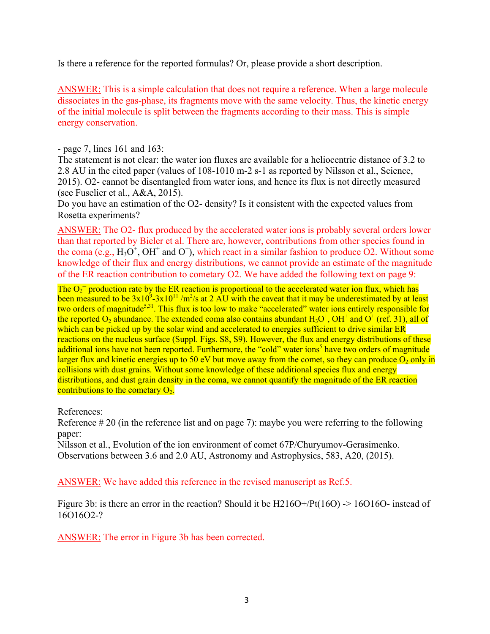Is there a reference for the reported formulas? Or, please provide a short description.

ANSWER: This is a simple calculation that does not require a reference. When a large molecule dissociates in the gas-phase, its fragments move with the same velocity. Thus, the kinetic energy of the initial molecule is split between the fragments according to their mass. This is simple energy conservation.

- page 7, lines 161 and 163:

The statement is not clear: the water ion fluxes are available for a heliocentric distance of 3.2 to 2.8 AU in the cited paper (values of 108-1010 m-2 s-1 as reported by Nilsson et al., Science, 2015). O2- cannot be disentangled from water ions, and hence its flux is not directly measured (see Fuselier et al., A&A, 2015).

Do you have an estimation of the O2- density? Is it consistent with the expected values from Rosetta experiments?

ANSWER: The O2- flux produced by the accelerated water ions is probably several orders lower than that reported by Bieler et al. There are, however, contributions from other species found in the coma (e.g.,  $H_3O^+$ , OH<sup>+</sup> and O<sup>+</sup>), which react in a similar fashion to produce O2. Without some knowledge of their flux and energy distributions, we cannot provide an estimate of the magnitude of the ER reaction contribution to cometary O2. We have added the following text on page 9:

The  $O<sub>2</sub>$ <sup>-</sup> production rate by the ER reaction is proportional to the accelerated water ion flux, which has been measured to be  $3x10^9$ - $3x10^{11}/m^2/s$  at 2 AU with the caveat that it may be underestimated by at least two orders of magnitude<sup>5,31</sup>. This flux is too low to make "accelerated" water ions entirely responsible for the reported  $O_2$  abundance. The extended coma also contains abundant  $H_3O^+$ ,  $OH^+$  and  $O^+$  (ref. 31), all of which can be picked up by the solar wind and accelerated to energies sufficient to drive similar ER reactions on the nucleus surface (Suppl. Figs. S8, S9). However, the flux and energy distributions of these additional ions have not been reported. Furthermore, the "cold" water ions<sup>5</sup> have two orders of magnitude larger flux and kinetic energies up to 50 eV but move away from the comet, so they can produce  $O_2$  only in collisions with dust grains. Without some knowledge of these additional species flux and energy distributions, and dust grain density in the coma, we cannot quantify the magnitude of the ER reaction contributions to the cometary  $O_{2}$ .

References:

Reference # 20 (in the reference list and on page 7): maybe you were referring to the following paper:

Nilsson et al., Evolution of the ion environment of comet 67P/Churyumov-Gerasimenko. Observations between 3.6 and 2.0 AU, Astronomy and Astrophysics, 583, A20, (2015).

ANSWER: We have added this reference in the revised manuscript as Ref.5.

Figure 3b: is there an error in the reaction? Should it be H216O+/Pt(16O) -> 16O16O- instead of 16O16O2-?

ANSWER: The error in Figure 3b has been corrected.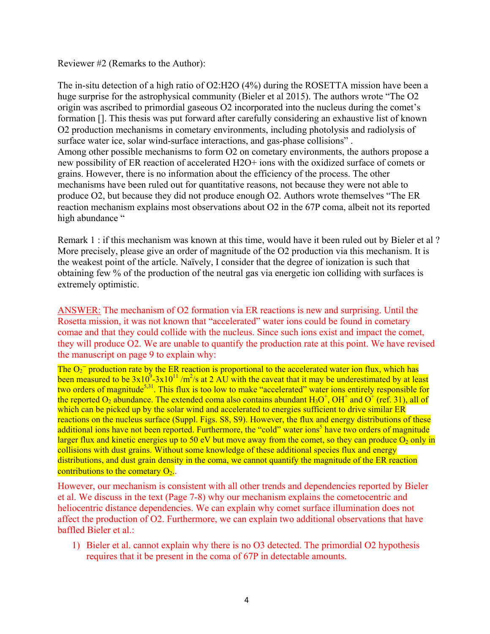# Reviewer #2 (Remarks to the Author):

The in-situ detection of a high ratio of O2:H2O (4%) during the ROSETTA mission have been a huge surprise for the astrophysical community (Bieler et al 2015). The authors wrote "The O2 origin was ascribed to primordial gaseous O2 incorporated into the nucleus during the comet's formation []. This thesis was put forward after carefully considering an exhaustive list of known O2 production mechanisms in cometary environments, including photolysis and radiolysis of surface water ice, solar wind-surface interactions, and gas-phase collisions" . Among other possible mechanisms to form O2 on cometary environments, the authors propose a new possibility of ER reaction of accelerated H2O+ ions with the oxidized surface of comets or grains. However, there is no information about the efficiency of the process. The other mechanisms have been ruled out for quantitative reasons, not because they were not able to produce O2, but because they did not produce enough O2. Authors wrote themselves "The ER reaction mechanism explains most observations about O2 in the 67P coma, albeit not its reported high abundance "

Remark 1 : if this mechanism was known at this time, would have it been ruled out by Bieler et al ? More precisely, please give an order of magnitude of the O2 production via this mechanism. It is the weakest point of the article. Naïvely, I consider that the degree of ionization is such that obtaining few % of the production of the neutral gas via energetic ion colliding with surfaces is extremely optimistic.

ANSWER: The mechanism of O2 formation via ER reactions is new and surprising. Until the Rosetta mission, it was not known that "accelerated" water ions could be found in cometary comae and that they could collide with the nucleus. Since such ions exist and impact the comet, they will produce O2. We are unable to quantify the production rate at this point. We have revised the manuscript on page 9 to explain why:

The  $O_2^-$  production rate by the ER reaction is proportional to the accelerated water ion flux, which has been measured to be  $3x10^9$ - $3x10^{11}$  /m<sup>2</sup>/s at 2 AU with the caveat that it may be underestimated by at least two orders of magnitude<sup>5,31</sup>. This flux is too low to make "accelerated" water ions entirely responsible for the reported  $O_2$  abundance. The extended coma also contains abundant  $H_3O^+$ ,  $OH^+$  and  $O^+$  (ref. 31), all of which can be picked up by the solar wind and accelerated to energies sufficient to drive similar ER reactions on the nucleus surface (Suppl. Figs. S8, S9). However, the flux and energy distributions of these additional ions have not been reported. Furthermore, the "cold" water ions<sup>5</sup> have two orders of magnitude larger flux and kinetic energies up to 50 eV but move away from the comet, so they can produce  $O_2$  only in collisions with dust grains. Without some knowledge of these additional species flux and energy distributions, and dust grain density in the coma, we cannot quantify the magnitude of the ER reaction contributions to the cometary  $O_2$ .

However, our mechanism is consistent with all other trends and dependencies reported by Bieler et al. We discuss in the text (Page 7-8) why our mechanism explains the cometocentric and heliocentric distance dependencies. We can explain why comet surface illumination does not affect the production of O2. Furthermore, we can explain two additional observations that have baffled Bieler et al.:

1) Bieler et al. cannot explain why there is no O3 detected. The primordial O2 hypothesis requires that it be present in the coma of 67P in detectable amounts.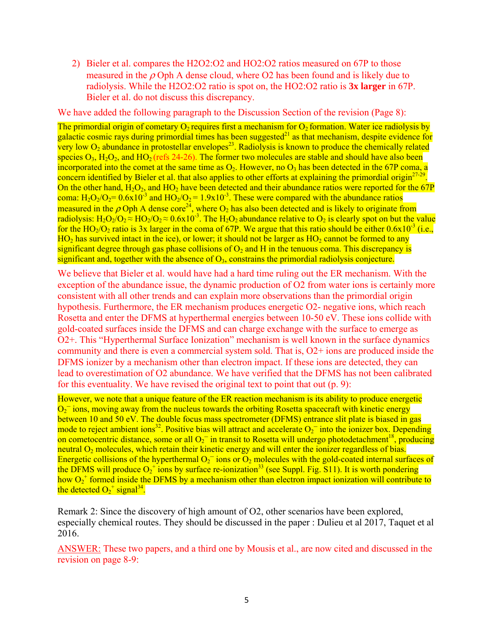2) Bieler et al. compares the H2O2:O2 and HO2:O2 ratios measured on 67P to those measured in the  $\rho$  Oph A dense cloud, where O2 has been found and is likely due to radiolysis. While the H2O2:O2 ratio is spot on, the HO2:O2 ratio is **3x larger** in 67P. Bieler et al. do not discuss this discrepancy.

We have added the following paragraph to the Discussion Section of the revision (Page 8):

The primordial origin of cometary  $O_2$  requires first a mechanism for  $O_2$  formation. Water ice radiolysis by galactic cosmic rays during primordial times has been suggested $^{21}$  as that mechanism, despite evidence for very low  $O_2$  abundance in protostellar envelopes<sup>23</sup>. Radiolysis is known to produce the chemically related species  $O_3$ ,  $H_2O_2$ , and  $HO_2$  (refs 24-26). The former two molecules are stable and should have also been incorporated into the comet at the same time as  $O_2$ . However, no  $O_3$  has been detected in the 67P coma, a concern identified by Bieler et al. that also applies to other efforts at explaining the primordial origin $^{27-29}$ On the other hand,  $H_2O_2$ , and  $HO_2$  have been detected and their abundance ratios were reported for the 67P coma:  $H_2O_2/O_2 = 0.6x10^{-3}$  and  $HO_2/O_2 = 1.9x10^{-3}$ . These were compared with the abundance ratios measured in the  $\rho$  Oph A dense core<sup>24</sup>, where O<sub>2</sub> has also been detected and is likely to originate from radiolysis:  $H_2O_2/Q_2 \approx HO_2/Q_2 \approx 0.6x10^{-3}$ . The  $H_2O_2$  abundance relative to  $O_2$  is clearly spot on but the value for the HO<sub>2</sub>/O<sub>2</sub> ratio is 3x larger in the coma of 67P. We argue that this ratio should be either  $0.6x10^{-3}$  (i.e.,  $HO<sub>2</sub>$  has survived intact in the ice), or lower; it should not be larger as  $HO<sub>2</sub>$  cannot be formed to any significant degree through gas phase collisions of  $O<sub>2</sub>$  and H in the tenuous coma. This discrepancy is significant and, together with the absence of  $O<sub>3</sub>$ , constrains the primordial radiolysis conjecture.

We believe that Bieler et al. would have had a hard time ruling out the ER mechanism. With the exception of the abundance issue, the dynamic production of O2 from water ions is certainly more consistent with all other trends and can explain more observations than the primordial origin hypothesis. Furthermore, the ER mechanism produces energetic O2- negative ions, which reach Rosetta and enter the DFMS at hyperthermal energies between 10-50 eV. These ions collide with gold-coated surfaces inside the DFMS and can charge exchange with the surface to emerge as O2+. This "Hyperthermal Surface Ionization" mechanism is well known in the surface dynamics community and there is even a commercial system sold. That is, O2+ ions are produced inside the DFMS ionizer by a mechanism other than electron impact. If these ions are detected, they can lead to overestimation of O2 abundance. We have verified that the DFMS has not been calibrated for this eventuality. We have revised the original text to point that out (p. 9):

However, we note that a unique feature of the ER reaction mechanism is its ability to produce energetic  $O<sub>2</sub>$  ions, moving away from the nucleus towards the orbiting Rosetta spacecraft with kinetic energy between 10 and 50 eV. The double focus mass spectrometer (DFMS) entrance slit plate is biased in gas mode to reject ambient ions<sup>32</sup>. Positive bias will attract and accelerate  $O_2^-$  into the ionizer box. Depending on cometocentric distance, some or all  $O_2^-$  in transit to Rosetta will undergo photodetachment<sup>18</sup>, producing neutral  $O_2$  molecules, which retain their kinetic energy and will enter the ionizer regardless of bias. Energetic collisions of the hyperthermal  $O<sub>2</sub>$  ions or  $O<sub>2</sub>$  molecules with the gold-coated internal surfaces of the DFMS will produce  $O_2^+$  ions by surface re-ionization<sup>33</sup> (see Suppl. Fig. S11). It is worth pondering how  $O_2$ <sup>+</sup> formed inside the DFMS by a mechanism other than electron impact ionization will contribute to the detected  $O_2^+$  signal<sup>34</sup>.

Remark 2: Since the discovery of high amount of O2, other scenarios have been explored, especially chemical routes. They should be discussed in the paper : Dulieu et al 2017, Taquet et al 2016.

ANSWER: These two papers, and a third one by Mousis et al., are now cited and discussed in the revision on page 8-9: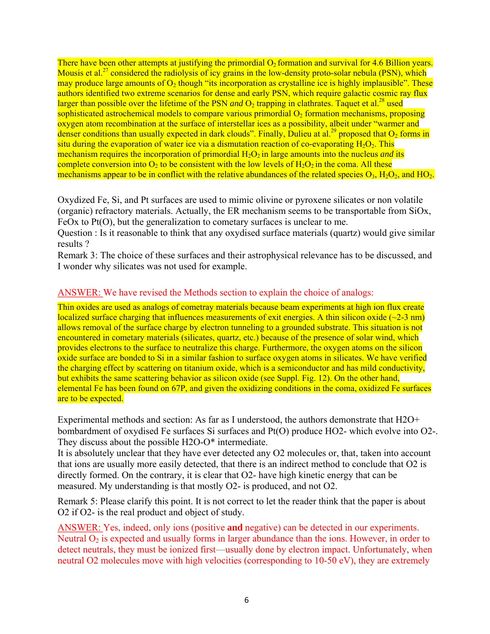There have been other attempts at justifying the primordial  $O<sub>2</sub>$  formation and survival for 4.6 Billion years. Mousis et al.<sup>27</sup> considered the radiolysis of icy grains in the low-density proto-solar nebula (PSN), which may produce large amounts of  $O_2$  though "its incorporation as crystalline ice is highly implausible". These authors identified two extreme scenarios for dense and early PSN, which require galactic cosmic ray flux larger than possible over the lifetime of the PSN *and*  $\Omega_2$  trapping in clathrates. Taquet et al.<sup>28</sup> used sophisticated astrochemical models to compare various primordial  $O<sub>2</sub>$  formation mechanisms, proposing oxygen atom recombination at the surface of interstellar ices as a possibility, albeit under "warmer and denser conditions than usually expected in dark clouds". Finally, Dulieu at al.<sup>29</sup> proposed that  $O_2$  forms in situ during the evaporation of water ice via a dismutation reaction of co-evaporating  $H_2O_2$ . This mechanism requires the incorporation of primordial H<sub>2</sub>O<sub>2</sub> in large amounts into the nucleus *and* its complete conversion into  $O_2$  to be consistent with the low levels of  $H_2O_2$  in the coma. All these mechanisms appear to be in conflict with the relative abundances of the related species  $O_3$ ,  $H_2O_2$ , and  $HO_2$ .

Oxydized Fe, Si, and Pt surfaces are used to mimic olivine or pyroxene silicates or non volatile (organic) refractory materials. Actually, the ER mechanism seems to be transportable from SiOx, FeOx to Pt(O), but the generalization to cometary surfaces is unclear to me.

Question : Is it reasonable to think that any oxydised surface materials (quartz) would give similar results ?

Remark 3: The choice of these surfaces and their astrophysical relevance has to be discussed, and I wonder why silicates was not used for example.

# ANSWER: We have revised the Methods section to explain the choice of analogs:

Thin oxides are used as analogs of cometray materials because beam experiments at high ion flux create localized surface charging that influences measurements of exit energies. A thin silicon oxide  $(-2-3 \text{ nm})$ allows removal of the surface charge by electron tunneling to a grounded substrate. This situation is not encountered in cometary materials (silicates, quartz, etc.) because of the presence of solar wind, which provides electrons to the surface to neutralize this charge. Furthermore, the oxygen atoms on the silicon oxide surface are bonded to Si in a similar fashion to surface oxygen atoms in silicates. We have verified the charging effect by scattering on titanium oxide, which is a semiconductor and has mild conductivity, but exhibits the same scattering behavior as silicon oxide (see Suppl. Fig. 12). On the other hand, elemental Fe has been found on 67P, and given the oxidizing conditions in the coma, oxidized Fe surfaces are to be expected.

Experimental methods and section: As far as I understood, the authors demonstrate that H2O+ bombardment of oxydised Fe surfaces Si surfaces and Pt(O) produce HO2- which evolve into O2-. They discuss about the possible H2O-O\* intermediate.

It is absolutely unclear that they have ever detected any O2 molecules or, that, taken into account that ions are usually more easily detected, that there is an indirect method to conclude that O2 is directly formed. On the contrary, it is clear that O2- have high kinetic energy that can be measured. My understanding is that mostly O2- is produced, and not O2.

Remark 5: Please clarify this point. It is not correct to let the reader think that the paper is about O2 if O2- is the real product and object of study.

ANSWER: Yes, indeed, only ions (positive **and** negative) can be detected in our experiments. Neutral  $O_2$  is expected and usually forms in larger abundance than the ions. However, in order to detect neutrals, they must be ionized first—usually done by electron impact. Unfortunately, when neutral O2 molecules move with high velocities (corresponding to 10-50 eV), they are extremely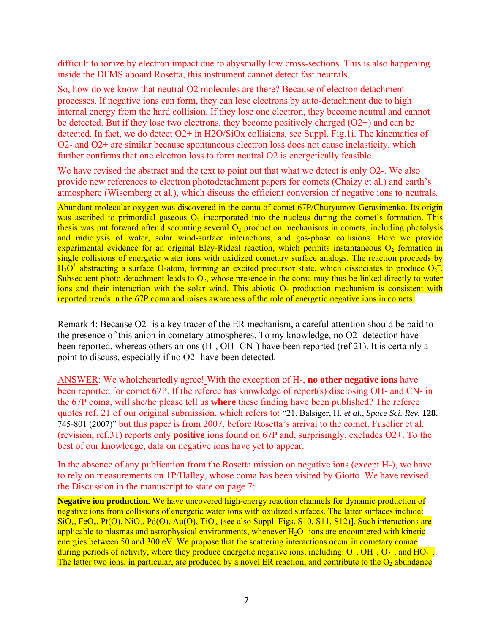difficult to ionize by electron impact due to abysmally low cross-sections. This is also happening inside the DFMS aboard Rosetta, this instrument cannot detect fast neutrals.

So, how do we know that neutral O2 molecules are there? Because of electron detachment processes. If negative ions can form, they can lose electrons by auto-detachment due to high internal energy from the hard collision. If they lose one electron, they become neutral and cannot be detected. But if they lose two electrons, they become positively charged (O2+) and can be detected. In fact, we do detect O2+ in H2O/SiOx collisions, see Suppl. Fig.1i. The kinematics of O2- and O2+ are similar because spontaneous electron loss does not cause inelasticity, which further confirms that one electron loss to form neutral O2 is energetically feasible.

We have revised the abstract and the text to point out that what we detect is only O2-. We also provide new references to electron photodetachment papers for comets (Chaizy et al.) and earth's atmosphere (Wisemberg et al.), which discuss the efficient conversion of negative ions to neutrals.

Abundant molecular oxygen was discovered in the coma of comet 67P/Churyumov-Gerasimenko. Its origin was ascribed to primordial gaseous  $O<sub>2</sub>$  incorporated into the nucleus during the comet's formation. This thesis was put forward after discounting several  $O<sub>2</sub>$  production mechanisms in comets, including photolysis and radiolysis of water, solar wind-surface interactions, and gas-phase collisions. Here we provide experimental evidence for an original Eley-Rideal reaction, which permits instantaneous  $O<sub>2</sub>$  formation in single collisions of energetic water ions with oxidized cometary surface analogs. The reaction proceeds by  $H_2O^+$  abstracting a surface O-atom, forming an excited precursor state, which dissociates to produce  $O_2^-$ . Subsequent photo-detachment leads to  $O_2$ , whose presence in the coma may thus be linked directly to water ions and their interaction with the solar wind. This abiotic  $O_2$  production mechanism is consistent with reported trends in the 67P coma and raises awareness of the role of energetic negative ions in comets.

Remark 4: Because O2- is a key tracer of the ER mechanism, a careful attention should be paid to the presence of this anion in cometary atmospheres. To my knowledge, no O2- detection have been reported, whereas others anions (H-, OH- CN-) have been reported (ref 21). It is certainly a point to discuss, especially if no O2- have been detected.

ANSWER: We wholeheartedly agree! With the exception of H-, **no other negative ions** have been reported for comet 67P. If the referee has knowledge of report(s) disclosing OH- and CN- in the 67P coma, will she/he please tell us **where** these finding have been published? The referee quotes ref. 21 of our original submission, which refers to: "21. Balsiger, H. *et al.*, *Space Sci. Rev.* **128**, 745-801 (2007)" but this paper is from 2007, before Rosetta's arrival to the comet. Fuselier et al. (revision, ref.31) reports only **positive** ions found on 67P and, surprisingly, excludes O2+. To the best of our knowledge, data on negative ions have yet to appear.

In the absence of any publication from the Rosetta mission on negative ions (except H-), we have to rely on measurements on 1P/Halley, whose coma has been visited by Giotto. We have revised the Discussion in the manuscript to state on page 7:

**Negative ion production.** We have uncovered high-energy reaction channels for dynamic production of negative ions from collisions of energetic water ions with oxidized surfaces. The latter surfaces include:  $\overline{SiO_x}$ , FeO<sub>y</sub>, Pt(O), NiO<sub>z</sub>, Pd(O), Au(O), TiO<sub>w</sub> (see also Suppl. Figs. S10, S11, S12)]. Such interactions are applicable to plasmas and astrophysical environments, whenever  $H_2O^+$  ions are encountered with kinetic energies between 50 and 300 eV. We propose that the scattering interactions occur in cometary comae during periods of activity, where they produce energetic negative ions, including:  $O^-, OH^-, O^{-}$ , and  $HO^{-}$ . The latter two ions, in particular, are produced by a novel ER reaction, and contribute to the  $O_2$  abundance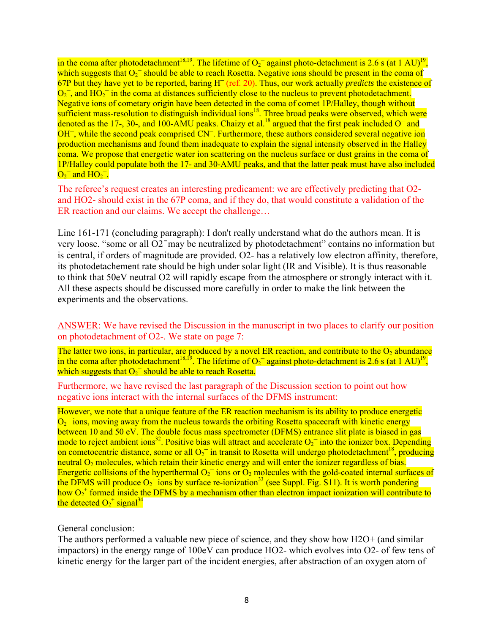in the coma after photodetachment<sup>18,19</sup>. The lifetime of  $O_2^-$  against photo-detachment is 2.6 s (at 1 AU)<sup>19</sup>, which suggests that  $O<sub>2</sub>^-$  should be able to reach Rosetta. Negative ions should be present in the coma of 67P but they have yet to be reported, baring H¯ (ref. 20). Thus, our work actually *predicts* the existence of  $O<sub>2</sub>$ , and HO<sub>2</sub><sup> $-$ </sup> in the coma at distances sufficiently close to the nucleus to prevent photodetachment. Negative ions of cometary origin have been detected in the coma of comet 1P/Halley, though without sufficient mass-resolution to distinguish individual ions<sup>18</sup>. Three broad peaks were observed, which were denoted as the 17-, 30-, and 100-AMU peaks. Chaizy et al.<sup>18</sup> argued that the first peak included  $O<sup>-</sup>$  and  $OH^-$ , while the second peak comprised  $CN^-$ . Furthermore, these authors considered several negative ion production mechanisms and found them inadequate to explain the signal intensity observed in the Halley coma. We propose that energetic water ion scattering on the nucleus surface or dust grains in the coma of 1P/Halley could populate both the 17- and 30-AMU peaks, and that the latter peak must have also included  $O_2^-$  and  $HO_2^-$ .

The referee's request creates an interesting predicament: we are effectively predicting that O2 and HO2- should exist in the 67P coma, and if they do, that would constitute a validation of the ER reaction and our claims. We accept the challenge…

Line 161-171 (concluding paragraph): I don't really understand what do the authors mean. It is very loose. "some or all O2 ̄ may be neutralized by photodetachment" contains no information but is central, if orders of magnitude are provided. O2- has a relatively low electron affinity, therefore, its photodetachement rate should be high under solar light (IR and Visible). It is thus reasonable to think that 50eV neutral O2 will rapidly escape from the atmosphere or strongly interact with it. All these aspects should be discussed more carefully in order to make the link between the experiments and the observations.

ANSWER: We have revised the Discussion in the manuscript in two places to clarify our position on photodetachment of O2-. We state on page 7:

The latter two ions, in particular, are produced by a novel ER reaction, and contribute to the  $O_2$  abundance in the coma after photodetachment<sup>18,19</sup>. The lifetime of  $O_2^-$  against photo-detachment is 2.6 s (at 1 AU)<sup>19</sup>, which suggests that  $O<sub>2</sub>^-$  should be able to reach Rosetta.

Furthermore, we have revised the last paragraph of the Discussion section to point out how negative ions interact with the internal surfaces of the DFMS instrument:

However, we note that a unique feature of the ER reaction mechanism is its ability to produce energetic  $O<sub>2</sub>$  ions, moving away from the nucleus towards the orbiting Rosetta spacecraft with kinetic energy between 10 and 50 eV. The double focus mass spectrometer (DFMS) entrance slit plate is biased in gas mode to reject ambient ions<sup>32</sup>. Positive bias will attract and accelerate  $O<sub>2</sub>^-$  into the ionizer box. Depending on cometocentric distance, some or all  $O_2^-$  in transit to Rosetta will undergo photodetachment<sup>18</sup>, producing neutral  $O_2$  molecules, which retain their kinetic energy and will enter the ionizer regardless of bias. Energetic collisions of the hyperthermal  $O<sub>2</sub>$  ions or  $O<sub>2</sub>$  molecules with the gold-coated internal surfaces of the DFMS will produce  $O_2^+$  ions by surface re-ionization<sup>33</sup> (see Suppl. Fig. S11). It is worth pondering how  $O_2$ <sup>+</sup> formed inside the DFMS by a mechanism other than electron impact ionization will contribute to the detected  $O_2^+$  signal<sup>34</sup>

## General conclusion:

The authors performed a valuable new piece of science, and they show how H2O+ (and similar impactors) in the energy range of 100eV can produce HO2- which evolves into O2- of few tens of kinetic energy for the larger part of the incident energies, after abstraction of an oxygen atom of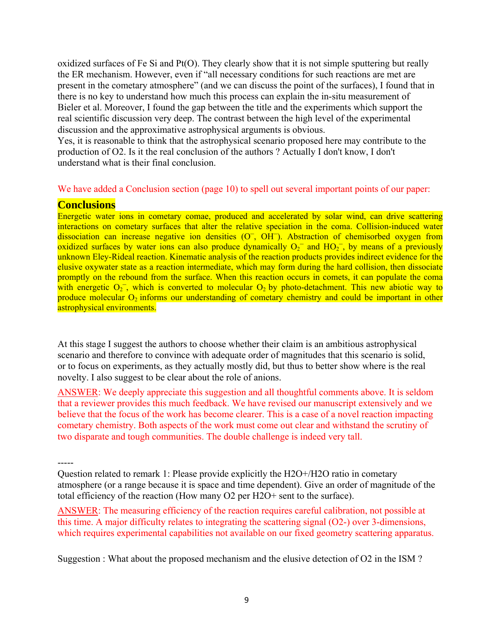oxidized surfaces of Fe Si and Pt(O). They clearly show that it is not simple sputtering but really the ER mechanism. However, even if "all necessary conditions for such reactions are met are present in the cometary atmosphere" (and we can discuss the point of the surfaces), I found that in there is no key to understand how much this process can explain the in-situ measurement of Bieler et al. Moreover, I found the gap between the title and the experiments which support the real scientific discussion very deep. The contrast between the high level of the experimental discussion and the approximative astrophysical arguments is obvious.

Yes, it is reasonable to think that the astrophysical scenario proposed here may contribute to the production of O2. Is it the real conclusion of the authors ? Actually I don't know, I don't understand what is their final conclusion.

# We have added a Conclusion section (page 10) to spell out several important points of our paper:

**Conclusions**<br>Energetic water ions in cometary comae, produced and accelerated by solar wind, can drive scattering interactions on cometary surfaces that alter the relative speciation in the coma. Collision-induced water dissociation can increase negative ion densities  $(O^-, OH^-)$ . Abstraction of chemisorbed oxygen from oxidized surfaces by water ions can also produce dynamically  $O_2^-$  and  $HO_2^-$ , by means of a previously unknown Eley-Rideal reaction. Kinematic analysis of the reaction products provides indirect evidence for the elusive oxywater state as a reaction intermediate, which may form during the hard collision, then dissociate promptly on the rebound from the surface. When this reaction occurs in comets, it can populate the coma with energetic  $O_2^-$ , which is converted to molecular  $O_2$  by photo-detachment. This new abiotic way to produce molecular  $O_2$  informs our understanding of cometary chemistry and could be important in other astrophysical environments.

At this stage I suggest the authors to choose whether their claim is an ambitious astrophysical scenario and therefore to convince with adequate order of magnitudes that this scenario is solid, or to focus on experiments, as they actually mostly did, but thus to better show where is the real novelty. I also suggest to be clear about the role of anions.

ANSWER: We deeply appreciate this suggestion and all thoughtful comments above. It is seldom that a reviewer provides this much feedback. We have revised our manuscript extensively and we believe that the focus of the work has become clearer. This is a case of a novel reaction impacting cometary chemistry. Both aspects of the work must come out clear and withstand the scrutiny of two disparate and tough communities. The double challenge is indeed very tall.

-----

Question related to remark 1: Please provide explicitly the H2O+/H2O ratio in cometary atmosphere (or a range because it is space and time dependent). Give an order of magnitude of the total efficiency of the reaction (How many O2 per H2O+ sent to the surface).

ANSWER: The measuring efficiency of the reaction requires careful calibration, not possible at this time. A major difficulty relates to integrating the scattering signal (O2-) over 3-dimensions, which requires experimental capabilities not available on our fixed geometry scattering apparatus.

Suggestion : What about the proposed mechanism and the elusive detection of O2 in the ISM ?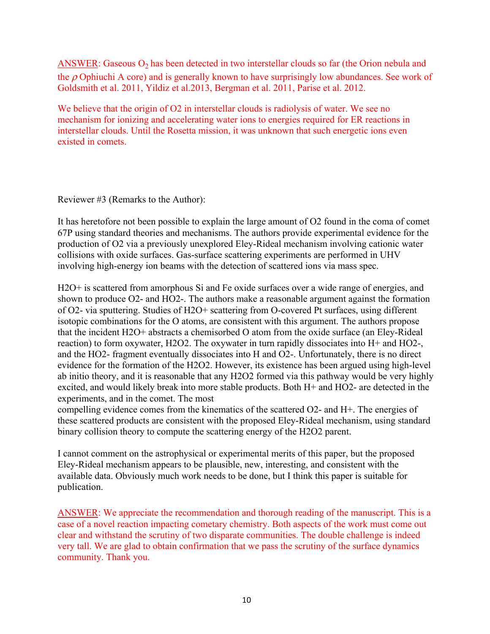ANSWER: Gaseous  $O_2$  has been detected in two interstellar clouds so far (the Orion nebula and the  $\rho$  Ophiuchi A core) and is generally known to have surprisingly low abundances. See work of Goldsmith et al. 2011, Yildiz et al.2013, Bergman et al. 2011, Parise et al. 2012.

We believe that the origin of O2 in interstellar clouds is radiolysis of water. We see no mechanism for ionizing and accelerating water ions to energies required for ER reactions in interstellar clouds. Until the Rosetta mission, it was unknown that such energetic ions even existed in comets.

Reviewer #3 (Remarks to the Author):

It has heretofore not been possible to explain the large amount of O2 found in the coma of comet 67P using standard theories and mechanisms. The authors provide experimental evidence for the production of O2 via a previously unexplored Eley-Rideal mechanism involving cationic water collisions with oxide surfaces. Gas-surface scattering experiments are performed in UHV involving high-energy ion beams with the detection of scattered ions via mass spec.

H2O+ is scattered from amorphous Si and Fe oxide surfaces over a wide range of energies, and shown to produce O2- and HO2-. The authors make a reasonable argument against the formation of O2- via sputtering. Studies of H2O+ scattering from O-covered Pt surfaces, using different isotopic combinations for the O atoms, are consistent with this argument. The authors propose that the incident H2O+ abstracts a chemisorbed O atom from the oxide surface (an Eley-Rideal reaction) to form oxywater, H2O2. The oxywater in turn rapidly dissociates into H+ and HO2-, and the HO2- fragment eventually dissociates into H and O2-. Unfortunately, there is no direct evidence for the formation of the H2O2. However, its existence has been argued using high-level ab initio theory, and it is reasonable that any H2O2 formed via this pathway would be very highly excited, and would likely break into more stable products. Both H+ and HO2- are detected in the experiments, and in the comet. The most

compelling evidence comes from the kinematics of the scattered O2- and H+. The energies of these scattered products are consistent with the proposed Eley-Rideal mechanism, using standard binary collision theory to compute the scattering energy of the H2O2 parent.

I cannot comment on the astrophysical or experimental merits of this paper, but the proposed Eley-Rideal mechanism appears to be plausible, new, interesting, and consistent with the available data. Obviously much work needs to be done, but I think this paper is suitable for publication.

ANSWER: We appreciate the recommendation and thorough reading of the manuscript. This is a case of a novel reaction impacting cometary chemistry. Both aspects of the work must come out clear and withstand the scrutiny of two disparate communities. The double challenge is indeed very tall. We are glad to obtain confirmation that we pass the scrutiny of the surface dynamics community. Thank you.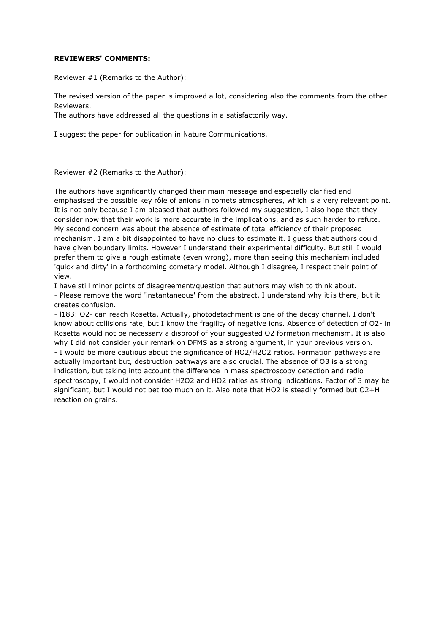## **REVIEWERS' COMMENTS:**

Reviewer #1 (Remarks to the Author):

The revised version of the paper is improved a lot, considering also the comments from the other Reviewers.

The authors have addressed all the questions in a satisfactorily way.

I suggest the paper for publication in Nature Communications.

Reviewer #2 (Remarks to the Author):

The authors have significantly changed their main message and especially clarified and emphasised the possible key rôle of anions in comets atmospheres, which is a very relevant point. It is not only because I am pleased that authors followed my suggestion, I also hope that they consider now that their work is more accurate in the implications, and as such harder to refute. My second concern was about the absence of estimate of total efficiency of their proposed mechanism. I am a bit disappointed to have no clues to estimate it. I guess that authors could have given boundary limits. However I understand their experimental difficulty. But still I would prefer them to give a rough estimate (even wrong), more than seeing this mechanism included 'quick and dirty' in a forthcoming cometary model. Although I disagree, I respect their point of view.

I have still minor points of disagreement/question that authors may wish to think about. - Please remove the word 'instantaneous' from the abstract. I understand why it is there, but it creates confusion.

- l183: O2- can reach Rosetta. Actually, photodetachment is one of the decay channel. I don't know about collisions rate, but I know the fragility of negative ions. Absence of detection of O2- in Rosetta would not be necessary a disproof of your suggested O2 formation mechanism. It is also why I did not consider your remark on DFMS as a strong argument, in your previous version. - I would be more cautious about the significance of HO2/H2O2 ratios. Formation pathways are actually important but, destruction pathways are also crucial. The absence of O3 is a strong indication, but taking into account the difference in mass spectroscopy detection and radio spectroscopy, I would not consider H2O2 and HO2 ratios as strong indications. Factor of 3 may be significant, but I would not bet too much on it. Also note that HO2 is steadily formed but O2+H reaction on grains.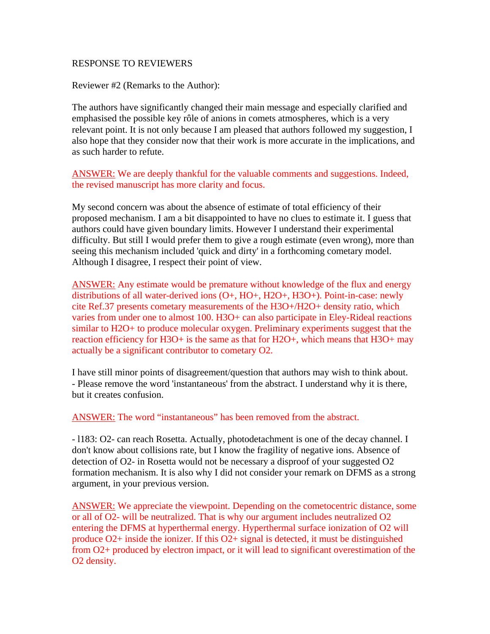## RESPONSE TO REVIEWERS

Reviewer #2 (Remarks to the Author):

The authors have significantly changed their main message and especially clarified and emphasised the possible key rôle of anions in comets atmospheres, which is a very relevant point. It is not only because I am pleased that authors followed my suggestion, I also hope that they consider now that their work is more accurate in the implications, and as such harder to refute.

ANSWER: We are deeply thankful for the valuable comments and suggestions. Indeed, the revised manuscript has more clarity and focus.

My second concern was about the absence of estimate of total efficiency of their proposed mechanism. I am a bit disappointed to have no clues to estimate it. I guess that authors could have given boundary limits. However I understand their experimental difficulty. But still I would prefer them to give a rough estimate (even wrong), more than seeing this mechanism included 'quick and dirty' in a forthcoming cometary model. Although I disagree, I respect their point of view.

ANSWER: Any estimate would be premature without knowledge of the flux and energy distributions of all water-derived ions (O+, HO+, H2O+, H3O+). Point-in-case: newly cite Ref.37 presents cometary measurements of the H3O+/H2O+ density ratio, which varies from under one to almost 100. H3O+ can also participate in Eley-Rideal reactions similar to H2O+ to produce molecular oxygen. Preliminary experiments suggest that the reaction efficiency for H3O+ is the same as that for H2O+, which means that H3O+ may actually be a significant contributor to cometary O2.

I have still minor points of disagreement/question that authors may wish to think about. - Please remove the word 'instantaneous' from the abstract. I understand why it is there, but it creates confusion.

ANSWER: The word "instantaneous" has been removed from the abstract.

- l183: O2- can reach Rosetta. Actually, photodetachment is one of the decay channel. I don't know about collisions rate, but I know the fragility of negative ions. Absence of detection of O2- in Rosetta would not be necessary a disproof of your suggested O2 formation mechanism. It is also why I did not consider your remark on DFMS as a strong argument, in your previous version.

ANSWER: We appreciate the viewpoint. Depending on the cometocentric distance, some or all of O2- will be neutralized. That is why our argument includes neutralized O2 entering the DFMS at hyperthermal energy. Hyperthermal surface ionization of O2 will produce O2+ inside the ionizer. If this O2+ signal is detected, it must be distinguished from O2+ produced by electron impact, or it will lead to significant overestimation of the O2 density.